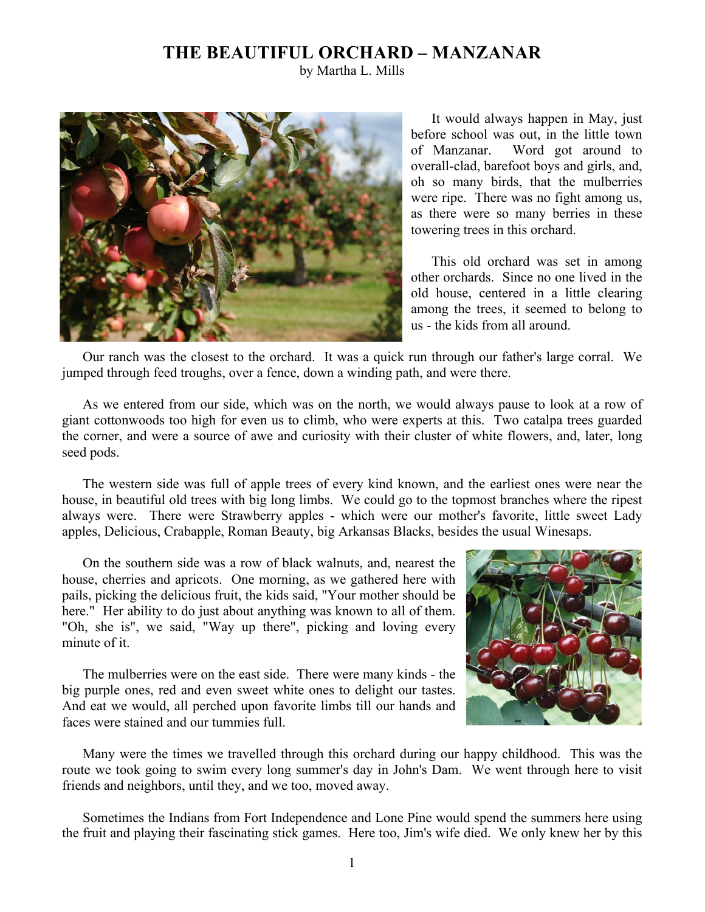## **THE BEAUTIFUL ORCHARD – MANZANAR**

by Martha L. Mills



It would always happen in May, just before school was out, in the little town of Manzanar. Word got around to overall-clad, barefoot boys and girls, and, oh so many birds, that the mulberries were ripe. There was no fight among us, as there were so many berries in these towering trees in this orchard.

This old orchard was set in among other orchards. Since no one lived in the old house, centered in a little clearing among the trees, it seemed to belong to us - the kids from all around.

Our ranch was the closest to the orchard. It was a quick run through our father's large corral. We jumped through feed troughs, over a fence, down a winding path, and were there.

As we entered from our side, which was on the north, we would always pause to look at a row of giant cottonwoods too high for even us to climb, who were experts at this. Two catalpa trees guarded the corner, and were a source of awe and curiosity with their cluster of white flowers, and, later, long seed pods.

The western side was full of apple trees of every kind known, and the earliest ones were near the house, in beautiful old trees with big long limbs. We could go to the topmost branches where the ripest always were. There were Strawberry apples - which were our mother's favorite, little sweet Lady apples, Delicious, Crabapple, Roman Beauty, big Arkansas Blacks, besides the usual Winesaps.

On the southern side was a row of black walnuts, and, nearest the house, cherries and apricots. One morning, as we gathered here with pails, picking the delicious fruit, the kids said, "Your mother should be here." Her ability to do just about anything was known to all of them. "Oh, she is", we said, "Way up there", picking and loving every minute of it.

The mulberries were on the east side. There were many kinds - the big purple ones, red and even sweet white ones to delight our tastes. And eat we would, all perched upon favorite limbs till our hands and faces were stained and our tummies full.



Many were the times we travelled through this orchard during our happy childhood. This was the route we took going to swim every long summer's day in John's Dam. We went through here to visit friends and neighbors, until they, and we too, moved away.

Sometimes the Indians from Fort Independence and Lone Pine would spend the summers here using the fruit and playing their fascinating stick games. Here too, Jim's wife died. We only knew her by this